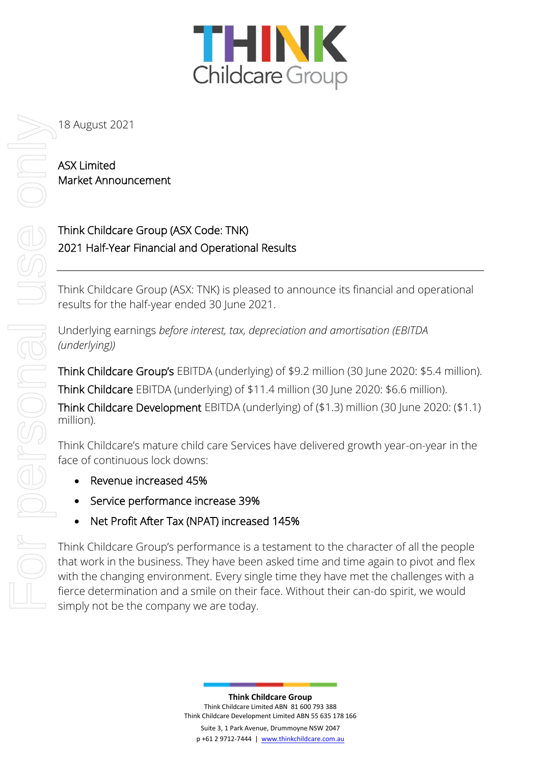

## ASX Limited Market Announcement

# Think Childcare Group (ASX Code: TNK) 2021 Half-Year Financial and Operational Results

Think Childcare Group (ASX: TNK) is pleased to announce its financial and operational results for the half-year ended 30 June 2021.

Underlying earnings *before interest, tax, depreciation and amortisation (EBITDA (underlying))* 

Think Childcare Group's EBITDA (underlying) of \$9.2 million (30 June 2020: \$5.4 million). Think Childcare EBITDA (underlying) of \$11.4 million (30 June 2020: \$6.6 million). Think Childcare Development EBITDA (underlying) of (\$1.3) million (30 June 2020: (\$1.1) million).

Think Childcare's mature child care Services have delivered growth year-on-year in the face of continuous lock downs:

- Revenue increased 45%
- Service performance increase 39%
- Net Profit After Tax (NPAT) increased 145%

Think Childcare Group's performance is a testament to the character of all the people that work in the business. They have been asked time and time again to pivot and flex with the changing environment. Every single time they have met the challenges with a fierce determination and a smile on their face. Without their can-do spirit, we would simply not be the company we are today.

> **Think Childcare Group** Think Childcare Limited ABN 81 600 793 388 Think Childcare Development Limited ABN 55 635 178 166 Suite 3, 1 Park Avenue, Drummoyne NSW 2047